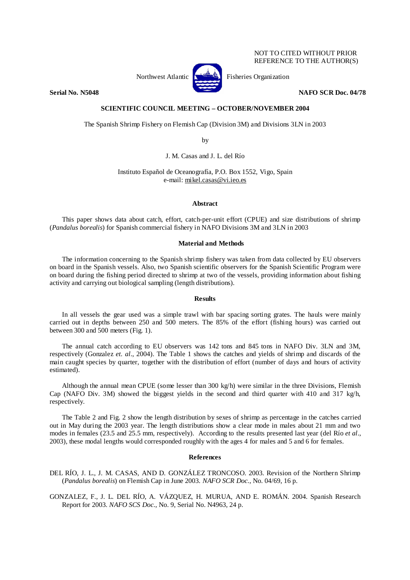NOT TO CITED WITHOUT PRIOR REFERENCE TO THE AUTHOR(S)



**Serial No. N5048 NAFO SCR Doc. 04/78 NAFO SCR Doc. 04/78** 

# **SCIENTIFIC COUNCIL MEETING – OCTOBER/NOVEMBER 2004**

The Spanish Shrimp Fishery on Flemish Cap (Division 3M) and Divisions 3LN in 2003

by

J. M. Casas and J. L. del Río

Instituto Español de Oceanografía, P.O. Box 1552, Vigo, Spain e-mail: mikel.casas@vi.ieo.es

# **Abstract**

This paper shows data about catch, effort, catch-per-unit effort (CPUE) and size distributions of shrimp (*Pandalus borealis*) for Spanish commercial fishery in NAFO Divisions 3M and 3LN in 2003

# **Material and Methods**

The information concerning to the Spanish shrimp fishery was taken from data collected by EU observers on board in the Spanish vessels. Also, two Spanish scientific observers for the Spanish Scientific Program were on board during the fishing period directed to shrimp at two of the vessels, providing information about fishing activity and carrying out biological sampling (length distributions).

## **Results**

In all vessels the gear used was a simple trawl with bar spacing sorting grates. The hauls were mainly carried out in depths between 250 and 500 meters. The 85% of the effort (fishing hours) was carried out between 300 and 500 meters (Fig. 1).

The annual catch according to EU observers was 142 tons and 845 tons in NAFO Div. 3LN and 3M, respectively (Gonzalez *et. al*., 2004). The Table 1 shows the catches and yields of shrimp and discards of the main caught species by quarter, together with the distribution of effort (number of days and hours of activity estimated).

Although the annual mean CPUE (some lesser than 300 kg/h) were similar in the three Divisions, Flemish Cap (NAFO Div. 3M) showed the biggest yields in the second and third quarter with 410 and 317 kg/h, respectively.

The Table 2 and Fig. 2 show the length distribution by sexes of shrimp as percentage in the catches carried out in May during the 2003 year. The length distributions show a clear mode in males about 21 mm and two modes in females (23.5 and 25.5 mm, respectively). According to the results presented last year (del Río *et al*., 2003), these modal lengths would corresponded roughly with the ages 4 for males and 5 and 6 for females.

#### **References**

DEL RÍO, J. L., J. M. CASAS, AND D. GONZÁLEZ TRONCOSO. 2003. Revision of the Northern Shrimp (*Pandalus borealis*) on Flemish Cap in June 2003. *NAFO SCR Doc.*, No. 04/69, 16 p.

GONZALEZ, F., J. L. DEL RÍO, A. VÁZQUEZ, H. MURUA, AND E. ROMÁN. 2004. Spanish Research Report for 2003. *NAFO SCS Doc.*, No. 9, Serial No. N4963, 24 p.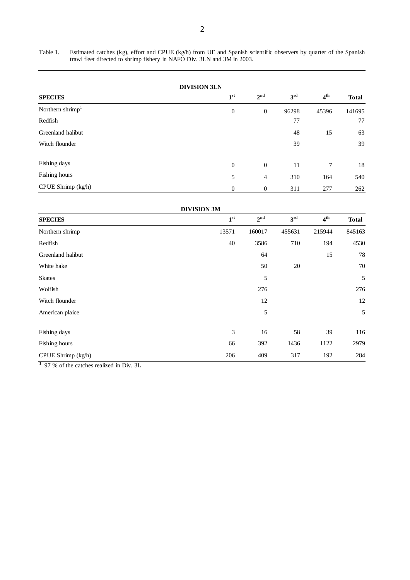Table 1. Estimated catches (kg), effort and CPUE (kg/h) from UE and Spanish scientific observers by quarter of the Spanish trawl fleet directed to shrimp fishery in NAFO Div. 3LN and 3M in 2003.

|                              | <b>DIVISION 3LN</b> |                 |                 |                 |              |  |
|------------------------------|---------------------|-----------------|-----------------|-----------------|--------------|--|
| <b>SPECIES</b>               | 1 <sup>st</sup>     | 2 <sup>nd</sup> | 3 <sup>rd</sup> | 4 <sup>th</sup> | <b>Total</b> |  |
| Northern shrimp <sup>1</sup> | $\boldsymbol{0}$    | $\mathbf{0}$    | 96298           | 45396           | 141695       |  |
| Redfish                      |                     |                 | 77              |                 | 77           |  |
| Greenland halibut            |                     |                 | 48              | 15              | 63           |  |
| Witch flounder               |                     |                 | 39              |                 | 39           |  |
| Fishing days                 | $\mathbf{0}$        | $\mathbf{0}$    | 11              | 7               | 18           |  |
| Fishing hours                | 5                   | $\overline{4}$  | 310             | 164             | 540          |  |
| CPUE Shrimp (kg/h)           | $\boldsymbol{0}$    | $\mathbf{0}$    | 311             | 277             | 262          |  |

|                    | <b>DIVISION 3M</b> |                 |                 |                 |              |  |
|--------------------|--------------------|-----------------|-----------------|-----------------|--------------|--|
| <b>SPECIES</b>     | 1 <sup>st</sup>    | 2 <sup>nd</sup> | 3 <sup>rd</sup> | 4 <sup>th</sup> | <b>Total</b> |  |
| Northern shrimp    | 13571              | 160017          | 455631          | 215944          | 845163       |  |
| Redfish            | 40                 | 3586            | 710             | 194             | 4530         |  |
| Greenland halibut  |                    | 64              |                 | 15              | 78           |  |
| White hake         |                    | 50              | 20              |                 | $70\,$       |  |
| <b>Skates</b>      |                    | 5               |                 |                 | 5            |  |
| Wolfish            |                    | 276             |                 |                 | 276          |  |
| Witch flounder     |                    | 12              |                 |                 | 12           |  |
| American plaice    |                    | 5               |                 |                 | 5            |  |
| Fishing days       | $\mathfrak{Z}$     | 16              | 58              | 39              | 116          |  |
| Fishing hours      | 66                 | 392             | 1436            | 1122            | 2979         |  |
| CPUE Shrimp (kg/h) | 206                | 409             | 317             | 192             | 284          |  |

**<sup>1</sup>**97 % of the catches realized in Div. 3L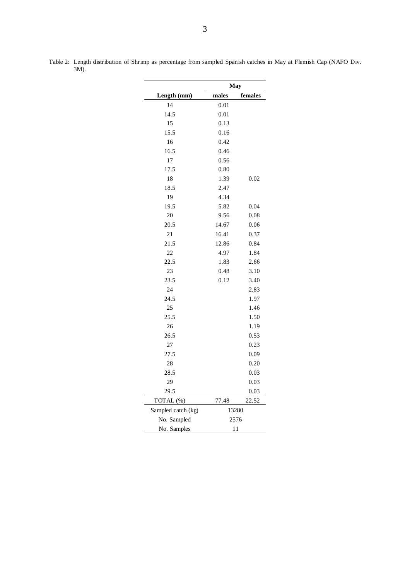|                    | May   |         |  |
|--------------------|-------|---------|--|
| Length (mm)        | males | females |  |
| 14                 | 0.01  |         |  |
| 14.5               | 0.01  |         |  |
| 15                 | 0.13  |         |  |
| 15.5               | 0.16  |         |  |
| 16                 | 0.42  |         |  |
| 16.5               | 0.46  |         |  |
| 17                 | 0.56  |         |  |
| 17.5               | 0.80  |         |  |
| 18                 | 1.39  | 0.02    |  |
| 18.5               | 2.47  |         |  |
| 19                 | 4.34  |         |  |
| 19.5               | 5.82  | 0.04    |  |
| 20                 | 9.56  | 0.08    |  |
| 20.5               | 14.67 | 0.06    |  |
| 21                 | 16.41 | 0.37    |  |
| 21.5               | 12.86 | 0.84    |  |
| 22                 | 4.97  | 1.84    |  |
| 22.5               | 1.83  | 2.66    |  |
| 23                 | 0.48  | 3.10    |  |
| 23.5               | 0.12  | 3.40    |  |
| 24                 |       | 2.83    |  |
| 24.5               |       | 1.97    |  |
| 25                 |       | 1.46    |  |
| 25.5               |       | 1.50    |  |
| 26                 |       | 1.19    |  |
| 26.5               |       | 0.53    |  |
| 27                 |       | 0.23    |  |
| 27.5               |       | 0.09    |  |
| 28                 |       | 0.20    |  |
| 28.5               |       | 0.03    |  |
| 29                 |       | 0.03    |  |
| 29.5               |       | 0.03    |  |
| TOTAL (%)          | 77.48 | 22.52   |  |
| Sampled catch (kg) | 13280 |         |  |
| No. Sampled        | 2576  |         |  |
| No. Samples        | 11    |         |  |

Table 2: Length distribution of Shrimp as percentage from sampled Spanish catches in May at Flemish Cap (NAFO Div. 3M).